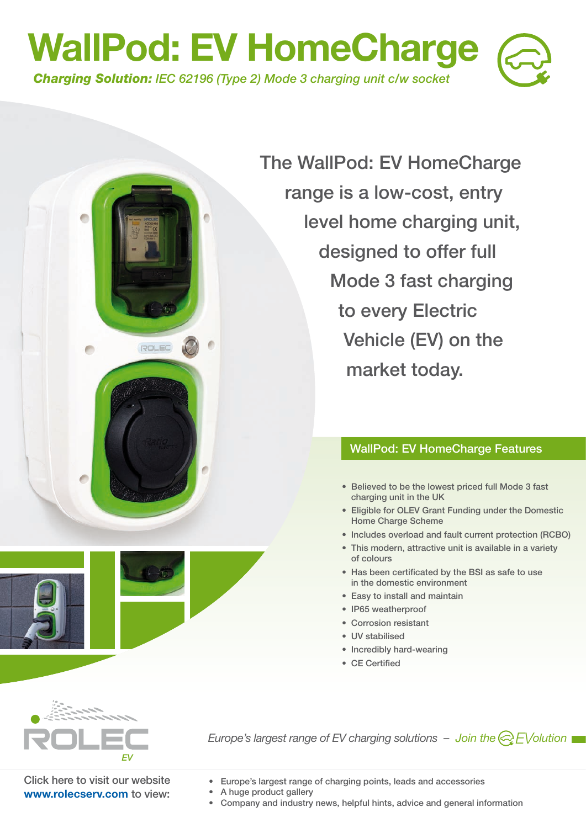

**The WallPod: EV HomeCharge range is a low-cost, entry level home charging unit, designed to offer full Mode 3 fast charging to every Electric Vehicle (EV) on the market today.**

### **WallPod: EV HomeCharge Features**

- **Believed to be the lowest priced full Mode 3 fast charging unit in the UK**
- **Eligible for OLEV Grant Funding under the Domestic Home Charge Scheme**
- **Includes overload and fault current protection (RCBO)**
- **This modern, attractive unit is available in a variety of colours**
- **Has been certificated by the BSI as safe to use in the domestic environment**
- **Easy to install and maintain**
- **IP65 weatherproof**
- **Corrosion resistant**
- **UV stabilised**
- **Incredibly hard-wearing**
- **CE Certified**



*Europe's largest range of EV charging solutions – Join the*  $\bigotimes$  *EV olution* 

**Click here to visit our website www.rolecserv.com to view:** 

**ROLEC** 

**• Europe's largest range of charging points, leads and accessories** 

- **A huge product gallery**
- **Company and industry news, helpful hints, advice and general information**